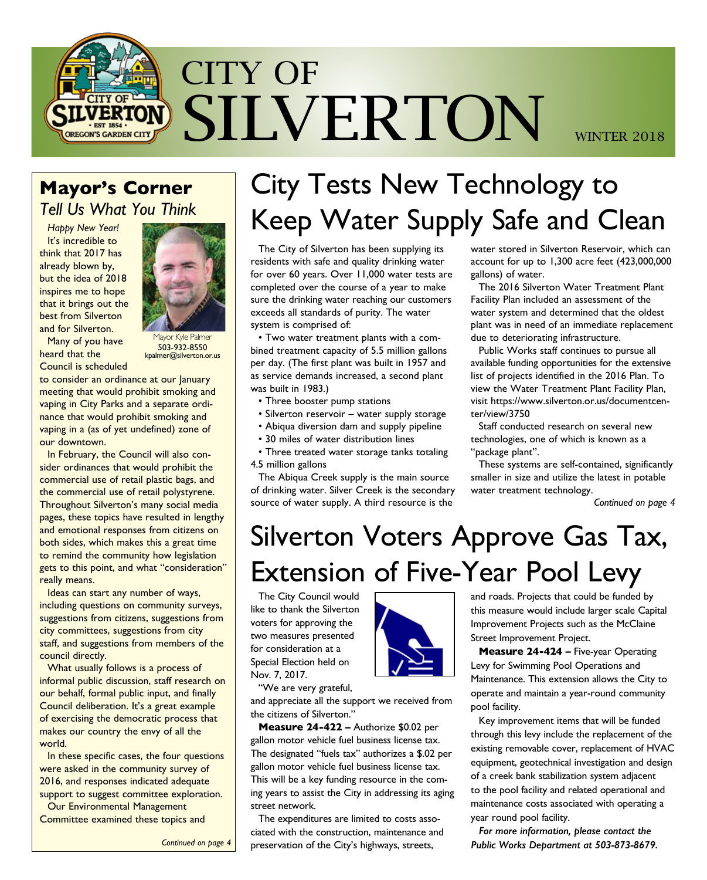

### **Mayor's Corner**  *Tell Us What You Think*

*Happy New Year!*  It's incredible to think that 2017 has already blown by, but the idea of 2018 inspires me to hope that it brings out the best from Silverton and for Silverton.



Many of you have heard that the Council is scheduled

**Tayor Kyle Palmer** 503-932-8550 kpalmer@silverton.or.us

to consider an ordinance at our lanuary meeting that would prohibit smoking and vaping in City Parks and a separate ordinance that would prohibit smoking and vaping in a (as of yet undefined) zone of our downtown.

In February, the Council will also consider ordinances that would prohibit the commercial use of retail plastic bags, and the commercial use of retail polystyrene. Throughout Silverton's many social media pages, these topics have resulted in lengthy and emotional responses from citizens on both sides, which makes this a great time to remind the community how legislation gets to this point, and what "consideration" really means.

Ideas can start any number of ways, including questions on community surveys, suggestions from citizens, suggestions from city committees, suggestions from city staff, and suggestions from members of the council directly.

What usually follows is a process of informal public discussion, staff research on our behalf, formal public input, and finally Council deliberation. It's a great example of exercising the democratic process that makes our country the envy of all the world.

In these specific cases, the four questions were asked in the community survey of 2016, and responses indicated adequate support to suggest committee exploration.

Our Environmental Management Committee examined these topics and

# City Tests New Technology to Keep Water Supply Safe and Clean

The City of Silverton has been supplying its residents with safe and quality drinking water for over 60 years. Over 11,000 water tests are completed over the course of a year to make sure the drinking water reaching our customers exceeds all standards of purity. The water system is comprised of:

• Two water treatment plants with a combined treatment capacity of 5.5 million gallons per day. (The first plant was built in 1957 and as service demands increased, a second plant was built in 1983.)

- Three booster pump stations
- Silverton reservoir water supply storage
- Abiqua diversion dam and supply pipeline
- 30 miles of water distribution lines

• Three treated water storage tanks totaling 4.5 million gallons

The Abiqua Creek supply is the main source of drinking water. Silver Creek is the secondary source of water supply. A third resource is the

water stored in Silverton Reservoir, which can account for up to 1,300 acre feet (423,000,000 gallons) of water.

The 2016 Silverton Water Treatment Plant Facility Plan included an assessment of the water system and determined that the oldest plant was in need of an immediate replacement due to deteriorating infrastructure.

Public Works staff continues to pursue all available funding opportunities for the extensive list of projects identified in the 2016 Plan. To view the Water Treatment Plant Facility Plan, visit https://www.silverton.or.us/documentcenter/view/3750

Staff conducted research on several new technologies, one of which is known as a "package plant".

These systems are self-contained, significantly smaller in size and utilize the latest in potable water treatment technology.

*Continued on page 4*

# Silverton Voters Approve Gas Tax, Extension of Five-Year Pool Levy

The City Council would like to thank the Silverton voters for approving the two measures presented for consideration at a Special Election held on Nov. 7, 2017.

"We are very grateful,

and appreciate all the support we received from the citizens of Silverton."

**Measure 24-422 –** Authorize \$0.02 per gallon motor vehicle fuel business license tax. The designated "fuels tax" authorizes a \$.02 per gallon motor vehicle fuel business license tax. This will be a key funding resource in the coming years to assist the City in addressing its aging street network.

The expenditures are limited to costs associated with the construction, maintenance and preservation of the City's highways, streets,



and roads. Projects that could be funded by this measure would include larger scale Capital Improvement Projects such as the McClaine Street Improvement Project.

**Measure 24-424 –** Five-year Operating Levy for Swimming Pool Operations and Maintenance. This extension allows the City to operate and maintain a year-round community pool facility.

Key improvement items that will be funded through this levy include the replacement of the existing removable cover, replacement of HVAC equipment, geotechnical investigation and design of a creek bank stabilization system adjacent to the pool facility and related operational and maintenance costs associated with operating a year round pool facility.

*For more information, please contact the Public Works Department at 503-873-8679.*

*Continued on page 4*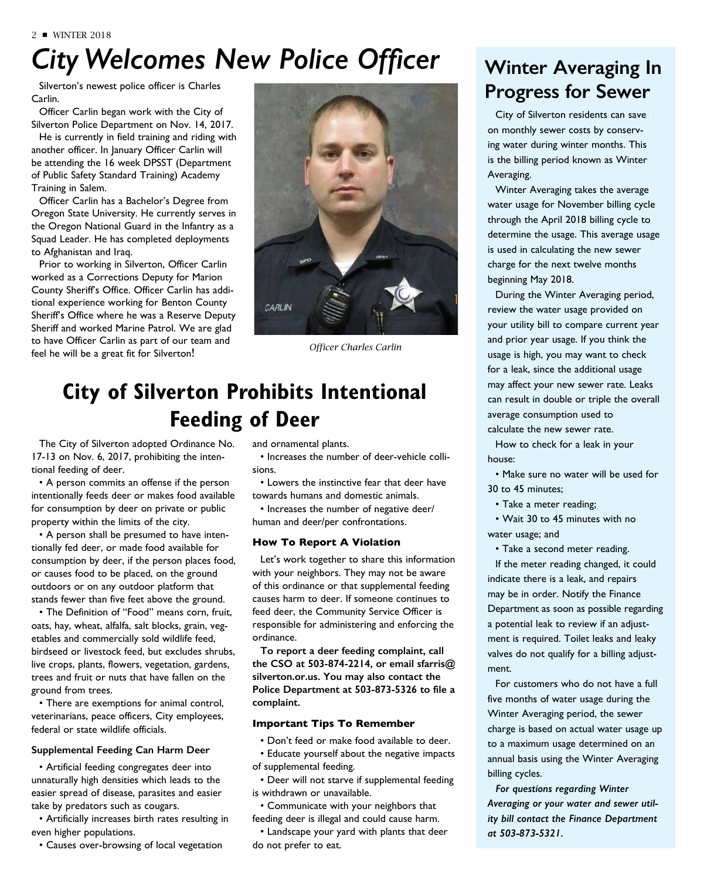# *City Welcomes New Police Officer*

Silverton's newest police officer is Charles Carlin.

Officer Carlin began work with the City of Silverton Police Department on Nov. 14, 2017.

He is currently in field training and riding with another officer. In January Officer Carlin will be attending the 16 week DPSST (Department of Public Safety Standard Training) Academy Training in Salem.

Officer Carlin has a Bachelor's Degree from Oregon State University. He currently serves in the Oregon National Guard in the Infantry as a Squad Leader. He has completed deployments to Afghanistan and Iraq.

Prior to working in Silverton, Officer Carlin worked as a Corrections Deputy for Marion County Sheriff's Office. Officer Carlin has additional experience working for Benton County Sheriff's Office where he was a Reserve Deputy Sheriff and worked Marine Patrol. We are glad to have Officer Carlin as part of our team and feel he will be a great fit for Silverton!



*Officer Charles Carlin*

### **City of Silverton Prohibits Intentional Feeding of Deer**

The City of Silverton adopted Ordinance No. 17-13 on Nov. 6, 2017, prohibiting the intentional feeding of deer.

• A person commits an offense if the person intentionally feeds deer or makes food available for consumption by deer on private or public property within the limits of the city.

• A person shall be presumed to have intentionally fed deer, or made food available for consumption by deer, if the person places food, or causes food to be placed, on the ground outdoors or on any outdoor platform that stands fewer than five feet above the ground.

• The Definition of "Food" means corn, fruit, oats, hay, wheat, alfalfa, salt blocks, grain, vegetables and commercially sold wildlife feed, birdseed or livestock feed, but excludes shrubs, live crops, plants, flowers, vegetation, gardens, trees and fruit or nuts that have fallen on the ground from trees.

• There are exemptions for animal control, veterinarians, peace officers, City employees, federal or state wildlife officials.

#### **Supplemental Feeding Can Harm Deer**

• Artificial feeding congregates deer into unnaturally high densities which leads to the easier spread of disease, parasites and easier take by predators such as cougars.

• Artificially increases birth rates resulting in even higher populations.

• Causes over-browsing of local vegetation

and ornamental plants.

• Increases the number of deer-vehicle collisions.

• Lowers the instinctive fear that deer have towards humans and domestic animals.

• Increases the number of negative deer/ human and deer/per confrontations.

#### **How To Report A Violation**

Let's work together to share this information with your neighbors. They may not be aware of this ordinance or that supplemental feeding causes harm to deer. If someone continues to feed deer, the Community Service Officer is responsible for administering and enforcing the ordinance.

**To report a deer feeding complaint, call the CSO at 503-874-2214, or email sfarris@ silverton.or.us. You may also contact the Police Department at 503-873-5326 to file a complaint.**

#### **Important Tips To Remember**

• Don't feed or make food available to deer. • Educate yourself about the negative impacts of supplemental feeding.

• Deer will not starve if supplemental feeding is withdrawn or unavailable.

• Communicate with your neighbors that feeding deer is illegal and could cause harm.

• Landscape your yard with plants that deer do not prefer to eat.

### **Winter Averaging In Progress for Sewer**

City of Silverton residents can save on monthly sewer costs by conserving water during winter months. This is the billing period known as Winter Averaging.

Winter Averaging takes the average water usage for November billing cycle through the April 2018 billing cycle to determine the usage. This average usage is used in calculating the new sewer charge for the next twelve months beginning May 2018.

During the Winter Averaging period, review the water usage provided on your utility bill to compare current year and prior year usage. If you think the usage is high, you may want to check for a leak, since the additional usage may affect your new sewer rate. Leaks can result in double or triple the overall average consumption used to calculate the new sewer rate.

How to check for a leak in your house:

• Make sure no water will be used for 30 to 45 minutes;

• Take a meter reading;

• Wait 30 to 45 minutes with no water usage; and

• Take a second meter reading.

If the meter reading changed, it could indicate there is a leak, and repairs may be in order. Notify the Finance Department as soon as possible regarding a potential leak to review if an adjustment is required. Toilet leaks and leaky valves do not qualify for a billing adjustment.

For customers who do not have a full five months of water usage during the Winter Averaging period, the sewer charge is based on actual water usage up to a maximum usage determined on an annual basis using the Winter Averaging billing cycles.

*For questions regarding Winter Averaging or your water and sewer utility bill contact the Finance Department at 503-873-5321.*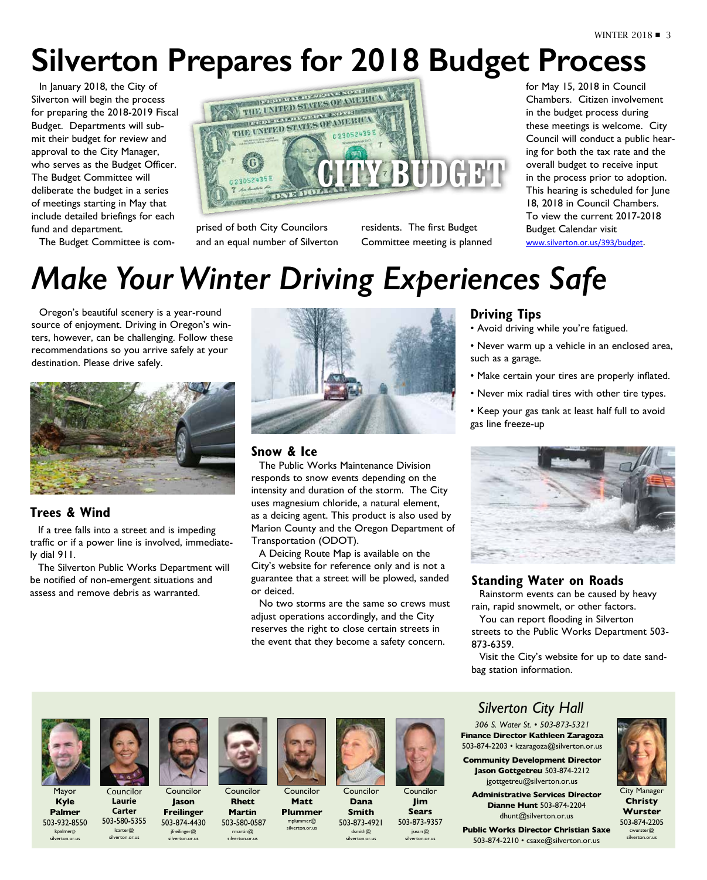# **Silverton Prepares for 2018 Budget Process**

In January 2018, the City of Silverton will begin the process for preparing the 2018-2019 Fiscal Budget. Departments will submit their budget for review and approval to the City Manager, who serves as the Budget Officer. The Budget Committee will deliberate the budget in a series of meetings starting in May that include detailed briefings for each fund and department.

The Budget Committee is com-



prised of both City Councilors and an equal number of Silverton residents. The first Budget Committee meeting is planned for May 15, 2018 in Council Chambers. Citizen involvement in the budget process during these meetings is welcome. City Council will conduct a public hearing for both the tax rate and the overall budget to receive input in the process prior to adoption. This hearing is scheduled for lune 18, 2018 in Council Chambers. To view the current 2017-2018 Budget Calendar visit www.silverton.or.us/393/budget.

# *Make Your Winter Driving Experiences Safe*

Oregon's beautiful scenery is a year-round source of enjoyment. Driving in Oregon's winters, however, can be challenging. Follow these recommendations so you arrive safely at your destination. Please drive safely.



#### **Trees & Wind**

If a tree falls into a street and is impeding traffic or if a power line is involved, immediately dial 911.

The Silverton Public Works Department will be notified of non-emergent situations and assess and remove debris as warranted.



#### **Snow & Ice**

The Public Works Maintenance Division responds to snow events depending on the intensity and duration of the storm. The City uses magnesium chloride, a natural element, as a deicing agent. This product is also used by Marion County and the Oregon Department of Transportation (ODOT).

A Deicing Route Map is available on the City's website for reference only and is not a guarantee that a street will be plowed, sanded or deiced.

No two storms are the same so crews must adjust operations accordingly, and the City reserves the right to close certain streets in the event that they become a safety concern.

#### **Driving Tips**

- Avoid driving while you're fatigued.
- Never warm up a vehicle in an enclosed area, such as a garage.
- Make certain your tires are properly inflated.
- Never mix radial tires with other tire types.
- Keep your gas tank at least half full to avoid gas line freeze-up



#### **Standing Water on Roads**

Rainstorm events can be caused by heavy rain, rapid snowmelt, or other factors.

You can report flooding in Silverton streets to the Public Works Department 503- 873-6359.

Visit the City's website for up to date sandbag station information.

Mayor **Kyle Palmer** 503-932-8550 kpalmer@ silverton.or.us



**Councilor Laurie Carter** 503-580-5355 lcarter@ silverton.or.us



Councilor **Jason Freilinger** 503-874-4430

jfreilinger@ silverton.or.us



**Rhett Martin** 503-580-0587 rmartin@ silverton.or.us

Councilor **Matt Plummer** 

mplummer@ silverton.or.us



Councilor **Dana Smith** 503-873-4921



**Jim** 

dsmith@ silverton.or.us **Sears** 503-873-9357 jsears@ silverton.or.us

### *Silverton City Hall*

*306 S. Water St. • 503-873-5321* **Finance Director Kathleen Zaragoza** 503-874-2203 • kzaragoza@silverton.or.us

**Administrative Services Director Dianne Hunt** 503-874-2204 dhunt@silverton.or.us

**Public Works Director Christian Saxe**  503-874-2210 • csaxe@silverton.or.us



City Manager **Christy Wurster** 503-874-2205 cwurster@ silverton.or.us

**Community Development Director Jason Gottgetreu** 503-874-2212 jgottgetreu@silverton.or.us